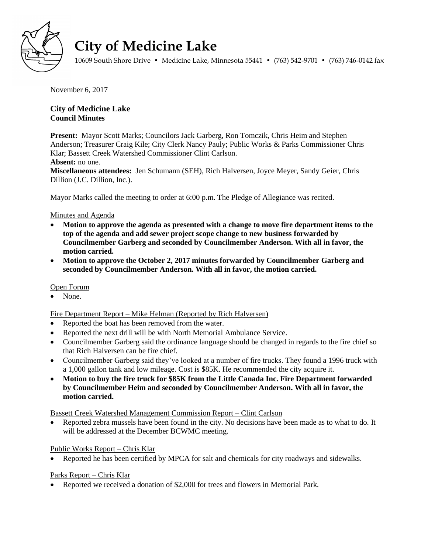

# **City of Medicine Lake**

10609 South Shore Drive • Medicine Lake, Minnesota 55441 • (763) 542-9701 • (763) 746-0142 fax

November 6, 2017

# **City of Medicine Lake Council Minutes**

**Present:** Mayor Scott Marks; Councilors Jack Garberg, Ron Tomczik, Chris Heim and Stephen Anderson; Treasurer Craig Kile; City Clerk Nancy Pauly; Public Works & Parks Commissioner Chris Klar; Bassett Creek Watershed Commissioner Clint Carlson.

## **Absent:** no one.

**Miscellaneous attendees:** Jen Schumann (SEH), Rich Halversen, Joyce Meyer, Sandy Geier, Chris Dillion (J.C. Dillion, Inc.).

Mayor Marks called the meeting to order at 6:00 p.m. The Pledge of Allegiance was recited.

## Minutes and Agenda

- **Motion to approve the agenda as presented with a change to move fire department items to the top of the agenda and add sewer project scope change to new business forwarded by Councilmember Garberg and seconded by Councilmember Anderson. With all in favor, the motion carried.**
- **Motion to approve the October 2, 2017 minutes forwarded by Councilmember Garberg and seconded by Councilmember Anderson. With all in favor, the motion carried.**

## Open Forum

None.

Fire Department Report – Mike Helman (Reported by Rich Halversen)

- Reported the boat has been removed from the water.
- Reported the next drill will be with North Memorial Ambulance Service.
- Councilmember Garberg said the ordinance language should be changed in regards to the fire chief so that Rich Halversen can be fire chief.
- Councilmember Garberg said they've looked at a number of fire trucks. They found a 1996 truck with a 1,000 gallon tank and low mileage. Cost is \$85K. He recommended the city acquire it.
- **Motion to buy the fire truck for \$85K from the Little Canada Inc. Fire Department forwarded by Councilmember Heim and seconded by Councilmember Anderson. With all in favor, the motion carried.**

Bassett Creek Watershed Management Commission Report – Clint Carlson

 Reported zebra mussels have been found in the city. No decisions have been made as to what to do. It will be addressed at the December BCWMC meeting.

## Public Works Report – Chris Klar

• Reported he has been certified by MPCA for salt and chemicals for city roadways and sidewalks.

## Parks Report – Chris Klar

Reported we received a donation of \$2,000 for trees and flowers in Memorial Park.